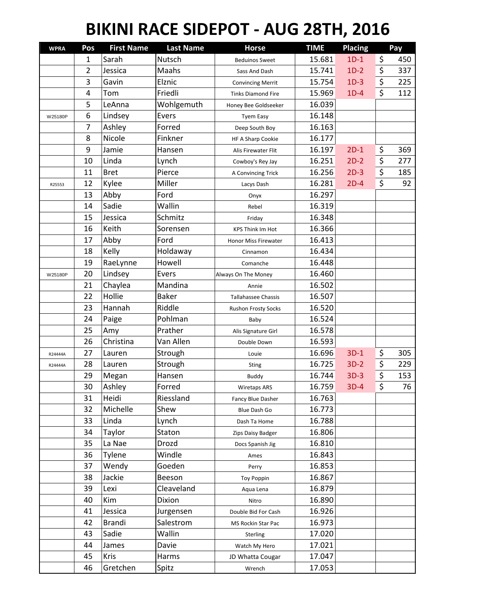## **BIKINI RACE SIDEPOT - AUG 28TH, 2016**

| <b>WPRA</b> | Pos            | <b>First Name</b> | <b>Last Name</b> | <b>Horse</b>               | <b>TIME</b> | <b>Placing</b> | Pay       |
|-------------|----------------|-------------------|------------------|----------------------------|-------------|----------------|-----------|
|             | 1              | Sarah             | Nutsch           | <b>Beduinos Sweet</b>      | 15.681      | $1D-1$         | \$<br>450 |
|             | $\overline{2}$ | Jessica           | Maahs            | Sass And Dash              | 15.741      | $1D-2$         | \$<br>337 |
|             | 3              | Gavin             | Elznic           | <b>Convincing Merrit</b>   | 15.754      | $1D-3$         | \$<br>225 |
|             | 4              | Tom               | Friedli          | <b>Tinks Diamond Fire</b>  | 15.969      | $1D-4$         | \$<br>112 |
|             | 5              | LeAnna            | Wohlgemuth       | Honey Bee Goldseeker       | 16.039      |                |           |
| W25180P     | 6              | Lindsey           | Evers            | <b>Tyem Easy</b>           | 16.148      |                |           |
|             | 7              | Ashley            | Forred           | Deep South Boy             | 16.163      |                |           |
|             | 8              | Nicole            | Finkner          | HF A Sharp Cookie          | 16.177      |                |           |
|             | 9              | Jamie             | Hansen           | Alis Firewater Flit        | 16.197      | $2D-1$         | \$<br>369 |
|             | 10             | Linda             | Lynch            | Cowboy's Rey Jay           | 16.251      | $2D-2$         | \$<br>277 |
|             | 11             | <b>Bret</b>       | Pierce           | A Convincing Trick         | 16.256      | $2D-3$         | \$<br>185 |
| R25553      | 12             | Kylee             | Miller           | Lacys Dash                 | 16.281      | $2D-4$         | \$<br>92  |
|             | 13             | Abby              | Ford             | Onyx                       | 16.297      |                |           |
|             | 14             | Sadie             | Wallin           | Rebel                      | 16.319      |                |           |
|             | 15             | Jessica           | Schmitz          | Friday                     | 16.348      |                |           |
|             | 16             | Keith             | Sorensen         | <b>KPS Think Im Hot</b>    | 16.366      |                |           |
|             | 17             | Abby              | Ford             | Honor Miss Firewater       | 16.413      |                |           |
|             | 18             | Kelly             | Holdaway         | Cinnamon                   | 16.434      |                |           |
|             | 19             | RaeLynne          | Howell           | Comanche                   | 16.448      |                |           |
| W25180P     | 20             | Lindsey           | Evers            | Always On The Money        | 16.460      |                |           |
|             | 21             | Chaylea           | Mandina          | Annie                      | 16.502      |                |           |
|             | 22             | Hollie            | <b>Baker</b>     | <b>Tallahassee Chassis</b> | 16.507      |                |           |
|             | 23             | Hannah            | Riddle           | <b>Rushon Frosty Socks</b> | 16.520      |                |           |
|             | 24             | Paige             | Pohlman          | Baby                       | 16.524      |                |           |
|             | 25             | Amy               | Prather          | Alis Signature Girl        | 16.578      |                |           |
|             | 26             | Christina         | Van Allen        | Double Down                | 16.593      |                |           |
| R24444A     | 27             | Lauren            | Strough          | Louie                      | 16.696      | $3D-1$         | \$<br>305 |
| R24444A     | 28             | Lauren            | Strough          | Sting                      | 16.725      | $3D-2$         | \$<br>229 |
|             | 29             | Megan             | Hansen           | <b>Buddy</b>               | 16.744      | $3D-3$         | \$<br>153 |
|             | 30             | Ashley            | Forred           | <b>Wiretaps ARS</b>        | 16.759      | $3D-4$         | \$<br>76  |
|             | 31             | Heidi             | Riessland        | Fancy Blue Dasher          | 16.763      |                |           |
|             | 32             | Michelle          | Shew             | Blue Dash Go               | 16.773      |                |           |
|             | 33             | Linda             | Lynch            | Dash Ta Home               | 16.788      |                |           |
|             | 34             | Taylor            | Staton           | Zips Daisy Badger          | 16.806      |                |           |
|             | 35             | La Nae            | Drozd            | Docs Spanish Jig           | 16.810      |                |           |
|             | 36             | Tylene            | Windle           | Ames                       | 16.843      |                |           |
|             | 37             | Wendy             | Goeden           | Perry                      | 16.853      |                |           |
|             | 38             | Jackie            | Beeson           | <b>Toy Poppin</b>          | 16.867      |                |           |
|             | 39             | Lexi              | Cleaveland       | Aqua Lena                  | 16.879      |                |           |
|             | 40             | Kim               | Dixion           | Nitro                      | 16.890      |                |           |
|             | 41             | Jessica           | Jurgensen        | Double Bid For Cash        | 16.926      |                |           |
|             | 42             | <b>Brandi</b>     | Salestrom        | MS Rockin Star Pac         | 16.973      |                |           |
|             | 43             | Sadie             | Wallin           | Sterling                   | 17.020      |                |           |
|             | 44             | James             | Davie            | Watch My Hero              | 17.021      |                |           |
|             | 45             | Kris              | Harms            | JD Whatta Cougar           | 17.047      |                |           |
|             | 46             | Gretchen          | Spitz            | Wrench                     | 17.053      |                |           |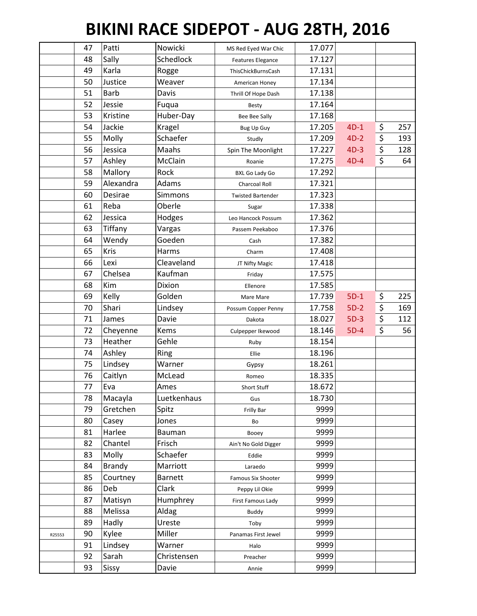## **BIKINI RACE SIDEPOT - AUG 28TH, 2016**

|        | 47 | Patti       | Nowicki        | MS Red Eyed War Chic     | 17.077 |        |           |
|--------|----|-------------|----------------|--------------------------|--------|--------|-----------|
|        | 48 | Sally       | Schedlock      | Features Elegance        | 17.127 |        |           |
|        | 49 | Karla       | Rogge          | ThisChickBurnsCash       | 17.131 |        |           |
|        | 50 | Justice     | Weaver         | American Honey           | 17.134 |        |           |
|        | 51 | <b>Barb</b> | Davis          | Thrill Of Hope Dash      | 17.138 |        |           |
|        | 52 | Jessie      | Fuqua          | Besty                    | 17.164 |        |           |
|        | 53 | Kristine    | Huber-Day      | Bee Bee Sally            | 17.168 |        |           |
|        | 54 | Jackie      | Kragel         | <b>Bug Up Guy</b>        | 17.205 | $4D-1$ | \$<br>257 |
|        | 55 | Molly       | Schaefer       | Studly                   | 17.209 | $4D-2$ | \$<br>193 |
|        | 56 | Jessica     | Maahs          | Spin The Moonlight       | 17.227 | $4D-3$ | \$<br>128 |
|        | 57 | Ashley      | McClain        | Roanie                   | 17.275 | $4D-4$ | \$<br>64  |
|        | 58 | Mallory     | Rock           | <b>BXL Go Lady Go</b>    | 17.292 |        |           |
|        | 59 | Alexandra   | Adams          | Charcoal Roll            | 17.321 |        |           |
|        | 60 | Desirae     | Simmons        | <b>Twisted Bartender</b> | 17.323 |        |           |
|        | 61 | Reba        | Oberle         | Sugar                    | 17.338 |        |           |
|        | 62 | Jessica     | Hodges         | Leo Hancock Possum       | 17.362 |        |           |
|        | 63 | Tiffany     | Vargas         | Passem Peekaboo          | 17.376 |        |           |
|        | 64 | Wendy       | Goeden         | Cash                     | 17.382 |        |           |
|        | 65 | Kris        | Harms          | Charm                    | 17.408 |        |           |
|        | 66 | Lexi        | Cleaveland     | JT Nifty Magic           | 17.418 |        |           |
|        | 67 | Chelsea     | Kaufman        | Friday                   | 17.575 |        |           |
|        | 68 | Kim         | Dixion         | Ellenore                 | 17.585 |        |           |
|        | 69 | Kelly       | Golden         | Mare Mare                | 17.739 | $5D-1$ | \$<br>225 |
|        | 70 | Shari       | Lindsey        | Possum Copper Penny      | 17.758 | $5D-2$ | \$<br>169 |
|        | 71 | James       | Davie          | Dakota                   | 18.027 | $5D-3$ | \$<br>112 |
|        | 72 | Cheyenne    | Kems           | Culpepper Ikewood        | 18.146 | $5D-4$ | \$<br>56  |
|        | 73 | Heather     | Gehle          | Ruby                     | 18.154 |        |           |
|        | 74 | Ashley      | Ring           | Ellie                    | 18.196 |        |           |
|        | 75 | Lindsey     | Warner         | Gypsy                    | 18.261 |        |           |
|        | 76 | Caitlyn     | McLead         | Romeo                    | 18.335 |        |           |
|        | 77 | Eva         | Ames           | Short Stuff              | 18.672 |        |           |
|        | 78 | Macayla     | Luetkenhaus    | Gus                      | 18.730 |        |           |
|        | 79 | Gretchen    | Spitz          | Frilly Bar               | 9999   |        |           |
|        | 80 | Casey       | Jones          | Bo                       | 9999   |        |           |
|        | 81 | Harlee      | <b>Bauman</b>  | Booey                    | 9999   |        |           |
|        | 82 | Chantel     | Frisch         | Ain't No Gold Digger     | 9999   |        |           |
|        | 83 | Molly       | Schaefer       | Eddie                    | 9999   |        |           |
|        | 84 | Brandy      | Marriott       | Laraedo                  | 9999   |        |           |
|        | 85 | Courtney    | <b>Barnett</b> | Famous Six Shooter       | 9999   |        |           |
|        | 86 | Deb         | Clark          | Peppy Lil Okie           | 9999   |        |           |
|        | 87 | Matisyn     | Humphrey       | First Famous Lady        | 9999   |        |           |
|        | 88 | Melissa     | Aldag          | <b>Buddy</b>             | 9999   |        |           |
|        | 89 | Hadly       | Ureste         | Toby                     | 9999   |        |           |
| R25553 | 90 | Kylee       | Miller         | Panamas First Jewel      | 9999   |        |           |
|        | 91 | Lindsey     | Warner         | Halo                     | 9999   |        |           |
|        | 92 | Sarah       | Christensen    | Preacher                 | 9999   |        |           |
|        | 93 | Sissy       | Davie          | Annie                    | 9999   |        |           |